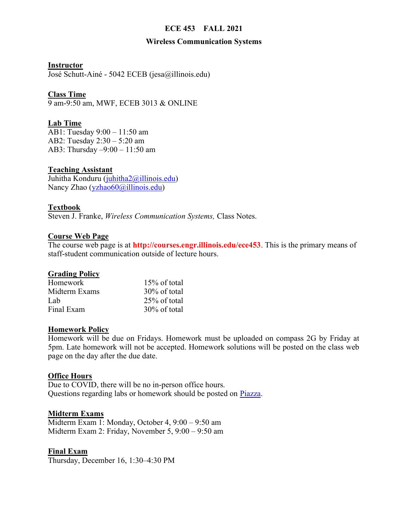# ECE 453 FALL 2021

#### Wireless Communication Systems

Instructor

José Schutt-Ainé - 5042 ECEB (jesa@illinois.edu)

### Class Time

9 am-9:50 am, MWF, ECEB 3013 & ONLINE

# Lab Time

AB1: Tuesday 9:00 – 11:50 am AB2: Tuesday 2:30 – 5:20 am AB3: Thursday –9:00 – 11:50 am

#### Teaching Assistant

Juhitha Konduru (juhitha2@illinois.edu) Nancy Zhao (yzhao60@illinois.edu)

# Textbook

Steven J. Franke, Wireless Communication Systems, Class Notes.

#### Course Web Page

The course web page is at **http://courses.engr.illinois.edu/ece453**. This is the primary means of staff-student communication outside of lecture hours.

#### **Grading Policy**

| Homework      | $15\%$ of total |
|---------------|-----------------|
| Midterm Exams | $30\%$ of total |
| Lab           | $25\%$ of total |
| Final Exam    | 30% of total    |

#### Homework Policy

Homework will be due on Fridays. Homework must be uploaded on compass 2G by Friday at 5pm. Late homework will not be accepted. Homework solutions will be posted on the class web page on the day after the due date.

#### **Office Hours**

Due to COVID, there will be no in-person office hours. Questions regarding labs or homework should be posted on Piazza.

#### Midterm Exams

Midterm Exam 1: Monday, October 4, 9:00 – 9:50 am Midterm Exam 2: Friday, November 5, 9:00 – 9:50 am

#### Final Exam

Thursday, December 16, 1:30–4:30 PM